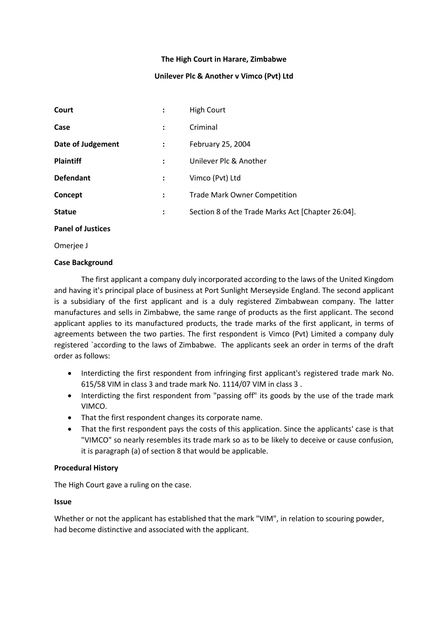### **The High Court in Harare, Zimbabwe**

# **Unilever Plc & Another v Vimco (Pvt) Ltd**

| Court                    |                      | <b>High Court</b>                                 |
|--------------------------|----------------------|---------------------------------------------------|
| Case                     |                      | Criminal                                          |
| <b>Date of Judgement</b> | $\ddot{\phantom{a}}$ | February 25, 2004                                 |
| <b>Plaintiff</b>         | $\ddot{\cdot}$       | Unilever Plc & Another                            |
| <b>Defendant</b>         | $\ddot{\phantom{a}}$ | Vimco (Pvt) Ltd                                   |
| Concept                  | $\ddot{\cdot}$       | <b>Trade Mark Owner Competition</b>               |
| <b>Statue</b>            | :                    | Section 8 of the Trade Marks Act [Chapter 26:04]. |

#### **Panel of Justices**

Omerjee J

### **Case Background**

The first applicant a company duly incorporated according to the laws of the United Kingdom and having it's principal place of business at Port Sunlight Merseyside England. The second applicant is a subsidiary of the first applicant and is a duly registered Zimbabwean company. The latter manufactures and sells in Zimbabwe, the same range of products as the first applicant. The second applicant applies to its manufactured products, the trade marks of the first applicant, in terms of agreements between the two parties. The first respondent is Vimco (Pvt) Limited a company duly registered `according to the laws of Zimbabwe. The applicants seek an order in terms of the draft order as follows:

- Interdicting the first respondent from infringing first applicant's registered trade mark No. 615/58 VIM in class 3 and trade mark No. 1114/07 VIM in class 3 .
- Interdicting the first respondent from "passing off" its goods by the use of the trade mark VIMCO.
- That the first respondent changes its corporate name.
- That the first respondent pays the costs of this application. Since the applicants' case is that "VIMCO" so nearly resembles its trade mark so as to be likely to deceive or cause confusion, it is paragraph (a) of section 8 that would be applicable.

### **Procedural History**

The High Court gave a ruling on the case.

### **Issue**

Whether or not the applicant has established that the mark "VIM", in relation to scouring powder, had become distinctive and associated with the applicant.